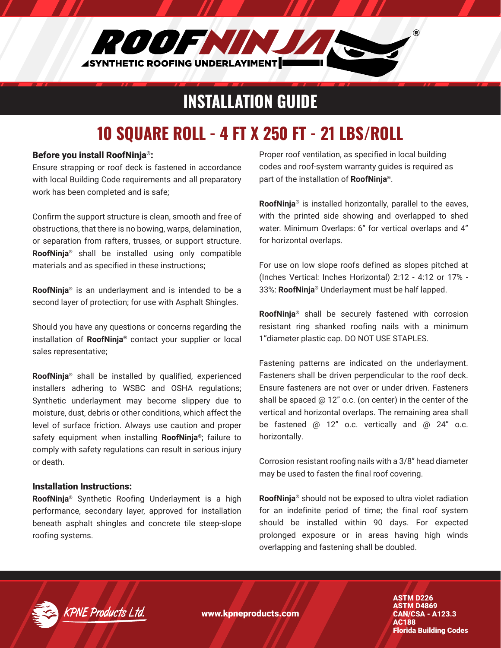

### INSTALLATION GUIDE

# 10 SQUARE ROLL - 4 FT X 250 FT - 21 LBS/ROLL

#### Before you install RoofNinja®:

Ensure strapping or roof deck is fastened in accordance with local Building Code requirements and all preparatory work has been completed and is safe;

Confirm the support structure is clean, smooth and free of obstructions, that there is no bowing, warps, delamination, or separation from rafters, trusses, or support structure. **RoofNinja®** shall be installed using only compatible materials and as specified in these instructions;

**RoofNinja®** is an underlayment and is intended to be a second layer of protection; for use with Asphalt Shingles.

Should you have any questions or concerns regarding the installation of **RoofNinja®** contact your supplier or local sales representative;

**RoofNinja®** shall be installed by qualified, experienced installers adhering to WSBC and OSHA regulations; Synthetic underlayment may become slippery due to moisture, dust, debris or other conditions, which affect the level of surface friction. Always use caution and proper safety equipment when installing **RoofNinja®**; failure to comply with safety regulations can result in serious injury or death.

#### Installation Instructions:

**RoofNinja®** Synthetic Roofing Underlayment is a high performance, secondary layer, approved for installation beneath asphalt shingles and concrete tile steep-slope roofing systems.

Proper roof ventilation, as specified in local building codes and roof-system warranty guides is required as part of the installation of **RoofNinja®**.

**RoofNinja®** is installed horizontally, parallel to the eaves, with the printed side showing and overlapped to shed water. Minimum Overlaps: 6" for vertical overlaps and 4" for horizontal overlaps.

For use on low slope roofs defined as slopes pitched at (Inches Vertical: Inches Horizontal) 2:12 - 4:12 or 17% - 33%: **RoofNinja®** Underlayment must be half lapped.

**RoofNinja®** shall be securely fastened with corrosion resistant ring shanked roofing nails with a minimum 1"diameter plastic cap. DO NOT USE STAPLES.

Fastening patterns are indicated on the underlayment. Fasteners shall be driven perpendicular to the roof deck. Ensure fasteners are not over or under driven. Fasteners shall be spaced @ 12" o.c. (on center) in the center of the vertical and horizontal overlaps. The remaining area shall be fastened @ 12" o.c. vertically and @ 24" o.c. horizontally.

Corrosion resistant roofing nails with a 3/8" head diameter may be used to fasten the final roof covering.

**RoofNinja®** should not be exposed to ultra violet radiation for an indefinite period of time; the final roof system should be installed within 90 days. For expected prolonged exposure or in areas having high winds overlapping and fastening shall be doubled.



www.kpneproducts.com

ASTM D226 ASTM D4869 CAN/CSA - A123.3 AC188 Florida Building Codes